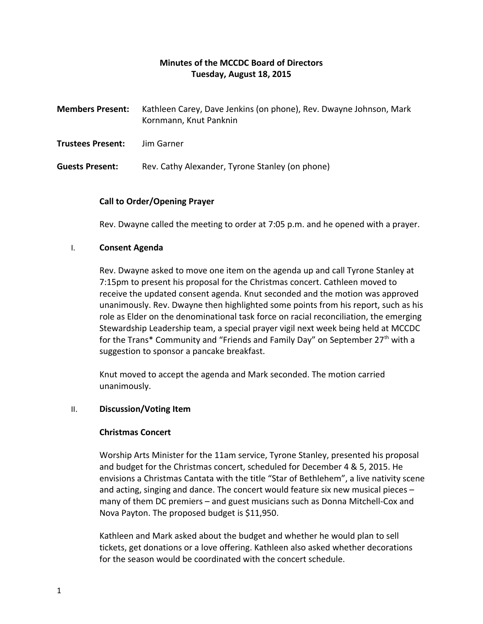# **Minutes of the MCCDC Board of Directors Tuesday, August 18, 2015**

| <b>Members Present:</b> | Kathleen Carey, Dave Jenkins (on phone), Rev. Dwayne Johnson, Mark<br>Kornmann, Knut Panknin |
|-------------------------|----------------------------------------------------------------------------------------------|
| Trustees Present:       | Jim Garner                                                                                   |
| <b>Guests Present:</b>  | Rev. Cathy Alexander, Tyrone Stanley (on phone)                                              |

### **Call to Order/Opening Prayer**

Rev. Dwayne called the meeting to order at 7:05 p.m. and he opened with a prayer.

### I. **Consent Agenda**

Rev. Dwayne asked to move one item on the agenda up and call Tyrone Stanley at 7:15pm to present his proposal for the Christmas concert. Cathleen moved to receive the updated consent agenda. Knut seconded and the motion was approved unanimously. Rev. Dwayne then highlighted some points from his report, such as his role as Elder on the denominational task force on racial reconciliation, the emerging Stewardship Leadership team, a special prayer vigil next week being held at MCCDC for the Trans\* Community and "Friends and Family Day" on September 27<sup>th</sup> with a suggestion to sponsor a pancake breakfast.

Knut moved to accept the agenda and Mark seconded. The motion carried unanimously.

### II. **Discussion/Voting Item**

### **Christmas Concert**

Worship Arts Minister for the 11am service, Tyrone Stanley, presented his proposal and budget for the Christmas concert, scheduled for December 4 & 5, 2015. He envisions a Christmas Cantata with the title "Star of Bethlehem", a live nativity scene and acting, singing and dance. The concert would feature six new musical pieces – many of them DC premiers – and guest musicians such as Donna Mitchell-Cox and Nova Payton. The proposed budget is \$11,950.

Kathleen and Mark asked about the budget and whether he would plan to sell tickets, get donations or a love offering. Kathleen also asked whether decorations for the season would be coordinated with the concert schedule.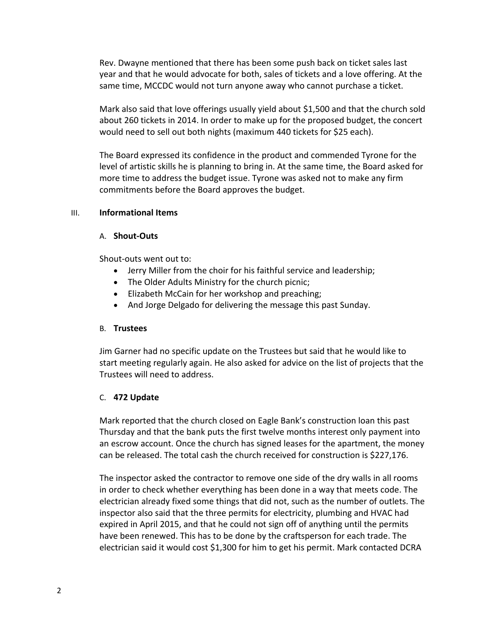Rev. Dwayne mentioned that there has been some push back on ticket sales last year and that he would advocate for both, sales of tickets and a love offering. At the same time, MCCDC would not turn anyone away who cannot purchase a ticket.

Mark also said that love offerings usually yield about \$1,500 and that the church sold about 260 tickets in 2014. In order to make up for the proposed budget, the concert would need to sell out both nights (maximum 440 tickets for \$25 each).

The Board expressed its confidence in the product and commended Tyrone for the level of artistic skills he is planning to bring in. At the same time, the Board asked for more time to address the budget issue. Tyrone was asked not to make any firm commitments before the Board approves the budget.

### III. **Informational Items**

### A. **Shout-Outs**

Shout-outs went out to:

- Jerry Miller from the choir for his faithful service and leadership;
- The Older Adults Ministry for the church picnic;
- Elizabeth McCain for her workshop and preaching;
- And Jorge Delgado for delivering the message this past Sunday.

### B. **Trustees**

Jim Garner had no specific update on the Trustees but said that he would like to start meeting regularly again. He also asked for advice on the list of projects that the Trustees will need to address.

### C. **472 Update**

Mark reported that the church closed on Eagle Bank's construction loan this past Thursday and that the bank puts the first twelve months interest only payment into an escrow account. Once the church has signed leases for the apartment, the money can be released. The total cash the church received for construction is \$227,176.

The inspector asked the contractor to remove one side of the dry walls in all rooms in order to check whether everything has been done in a way that meets code. The electrician already fixed some things that did not, such as the number of outlets. The inspector also said that the three permits for electricity, plumbing and HVAC had expired in April 2015, and that he could not sign off of anything until the permits have been renewed. This has to be done by the craftsperson for each trade. The electrician said it would cost \$1,300 for him to get his permit. Mark contacted DCRA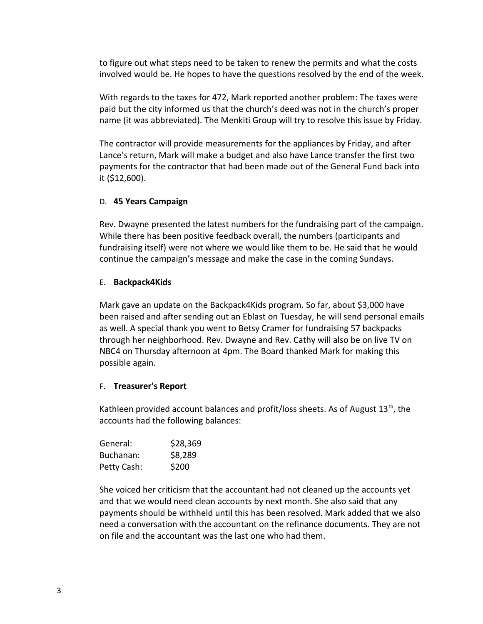to figure out what steps need to be taken to renew the permits and what the costs involved would be. He hopes to have the questions resolved by the end of the week.

With regards to the taxes for 472, Mark reported another problem: The taxes were paid but the city informed us that the church's deed was not in the church's proper name (it was abbreviated). The Menkiti Group will try to resolve this issue by Friday.

The contractor will provide measurements for the appliances by Friday, and after Lance's return, Mark will make a budget and also have Lance transfer the first two payments for the contractor that had been made out of the General Fund back into it (\$12,600).

### D. **45 Years Campaign**

Rev. Dwayne presented the latest numbers for the fundraising part of the campaign. While there has been positive feedback overall, the numbers (participants and fundraising itself) were not where we would like them to be. He said that he would continue the campaign's message and make the case in the coming Sundays.

#### E. **Backpack4Kids**

Mark gave an update on the Backpack4Kids program. So far, about \$3,000 have been raised and after sending out an Eblast on Tuesday, he will send personal emails as well. A special thank you went to Betsy Cramer for fundraising 57 backpacks through her neighborhood. Rev. Dwayne and Rev. Cathy will also be on live TV on NBC4 on Thursday afternoon at 4pm. The Board thanked Mark for making this possible again.

### F. **Treasurer's Report**

Kathleen provided account balances and profit/loss sheets. As of August 13<sup>th</sup>, the accounts had the following balances:

| General:    | \$28,369 |
|-------------|----------|
| Buchanan:   | \$8,289  |
| Petty Cash: | \$200    |

She voiced her criticism that the accountant had not cleaned up the accounts yet and that we would need clean accounts by next month. She also said that any payments should be withheld until this has been resolved. Mark added that we also need a conversation with the accountant on the refinance documents. They are not on file and the accountant was the last one who had them.